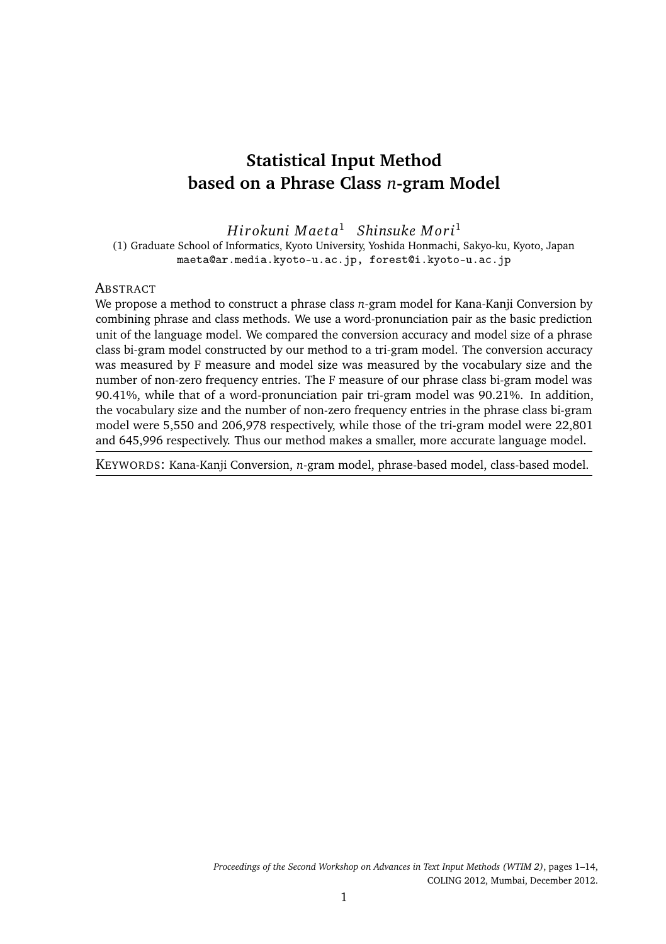# **Statistical Input Method based on a Phrase Class** *n***-gram Model**

*Hi r okuni M ae ta*<sup>1</sup> *Shinsuke M ori*<sup>1</sup>

(1) Graduate School of Informatics, Kyoto University, Yoshida Honmachi, Sakyo-ku, Kyoto, Japan maeta@ar.media.kyoto-u.ac.jp, forest@i.kyoto-u.ac.jp

## **ABSTRACT**

We propose a method to construct a phrase class *n*-gram model for Kana-Kanji Conversion by combining phrase and class methods. We use a word-pronunciation pair as the basic prediction unit of the language model. We compared the conversion accuracy and model size of a phrase class bi-gram model constructed by our method to a tri-gram model. The conversion accuracy was measured by F measure and model size was measured by the vocabulary size and the number of non-zero frequency entries. The F measure of our phrase class bi-gram model was 90.41%, while that of a word-pronunciation pair tri-gram model was 90.21%. In addition, the vocabulary size and the number of non-zero frequency entries in the phrase class bi-gram model were 5,550 and 206,978 respectively, while those of the tri-gram model were 22,801 and 645,996 respectively. Thus our method makes a smaller, more accurate language model.

KEYWORDS: Kana-Kanji Conversion, *n*-gram model, phrase-based model, class-based model.

*Proceedings of the Second Workshop on Advances in Text Input Methods (WTIM 2)*, pages 1–14, COLING 2012, Mumbai, December 2012.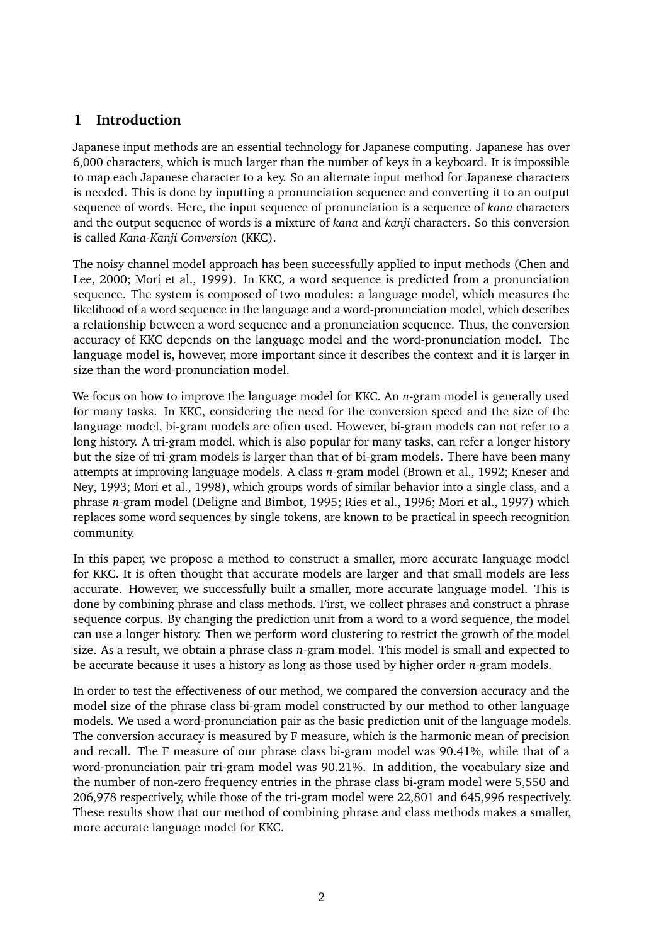# **1 Introduction**

Japanese input methods are an essential technology for Japanese computing. Japanese has over 6,000 characters, which is much larger than the number of keys in a keyboard. It is impossible to map each Japanese character to a key. So an alternate input method for Japanese characters is needed. This is done by inputting a pronunciation sequence and converting it to an output sequence of words. Here, the input sequence of pronunciation is a sequence of *kana* characters and the output sequence of words is a mixture of *kana* and *kanji* characters. So this conversion is called *Kana-Kanji Conversion* (KKC).

The noisy channel model approach has been successfully applied to input methods (Chen and Lee, 2000; Mori et al., 1999). In KKC, a word sequence is predicted from a pronunciation sequence. The system is composed of two modules: a language model, which measures the likelihood of a word sequence in the language and a word-pronunciation model, which describes a relationship between a word sequence and a pronunciation sequence. Thus, the conversion accuracy of KKC depends on the language model and the word-pronunciation model. The language model is, however, more important since it describes the context and it is larger in size than the word-pronunciation model.

We focus on how to improve the language model for KKC. An *n*-gram model is generally used for many tasks. In KKC, considering the need for the conversion speed and the size of the language model, bi-gram models are often used. However, bi-gram models can not refer to a long history. A tri-gram model, which is also popular for many tasks, can refer a longer history but the size of tri-gram models is larger than that of bi-gram models. There have been many attempts at improving language models. A class *n*-gram model (Brown et al., 1992; Kneser and Ney, 1993; Mori et al., 1998), which groups words of similar behavior into a single class, and a phrase *n*-gram model (Deligne and Bimbot, 1995; Ries et al., 1996; Mori et al., 1997) which replaces some word sequences by single tokens, are known to be practical in speech recognition community.

In this paper, we propose a method to construct a smaller, more accurate language model for KKC. It is often thought that accurate models are larger and that small models are less accurate. However, we successfully built a smaller, more accurate language model. This is done by combining phrase and class methods. First, we collect phrases and construct a phrase sequence corpus. By changing the prediction unit from a word to a word sequence, the model can use a longer history. Then we perform word clustering to restrict the growth of the model size. As a result, we obtain a phrase class *n*-gram model. This model is small and expected to be accurate because it uses a history as long as those used by higher order *n*-gram models.

In order to test the effectiveness of our method, we compared the conversion accuracy and the model size of the phrase class bi-gram model constructed by our method to other language models. We used a word-pronunciation pair as the basic prediction unit of the language models. The conversion accuracy is measured by F measure, which is the harmonic mean of precision and recall. The F measure of our phrase class bi-gram model was 90.41%, while that of a word-pronunciation pair tri-gram model was 90.21%. In addition, the vocabulary size and the number of non-zero frequency entries in the phrase class bi-gram model were 5,550 and 206,978 respectively, while those of the tri-gram model were 22,801 and 645,996 respectively. These results show that our method of combining phrase and class methods makes a smaller, more accurate language model for KKC.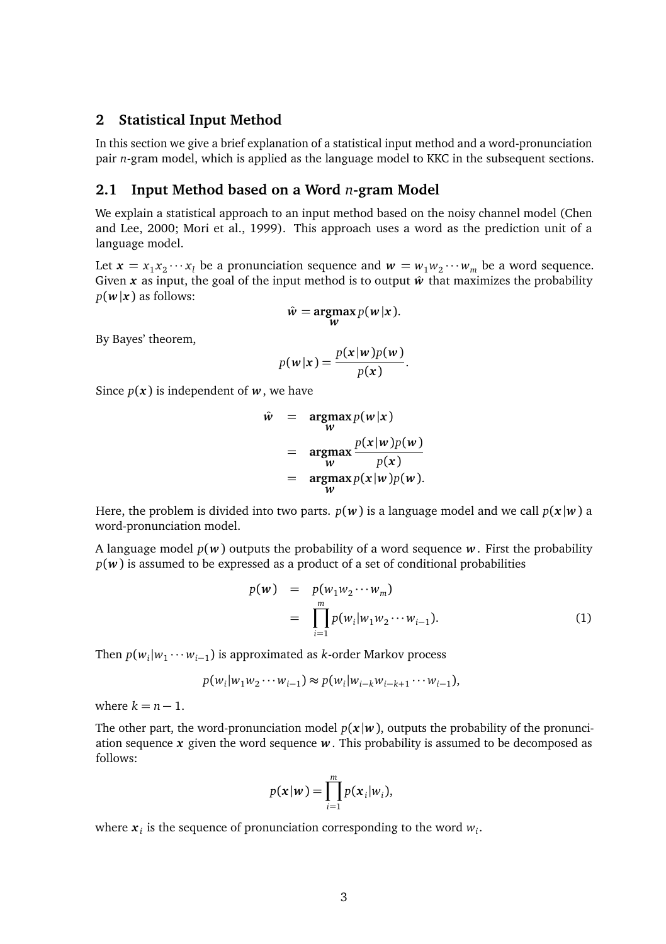## **2 Statistical Input Method**

In this section we give a brief explanation of a statistical input method and a word-pronunciation pair *n*-gram model, which is applied as the language model to KKC in the subsequent sections.

## **2.1 Input Method based on a Word** *n***-gram Model**

We explain a statistical approach to an input method based on the noisy channel model (Chen and Lee, 2000; Mori et al., 1999). This approach uses a word as the prediction unit of a language model.

Let  $\mathbf{x} = x_1 x_2 \cdots x_l$  be a pronunciation sequence and  $\mathbf{w} = w_1 w_2 \cdots w_m$  be a word sequence. Given  $x$  as input, the goal of the input method is to output  $\hat{w}$  that maximizes the probability  $p(w|x)$  as follows:

$$
\hat{w} = \underset{w}{\operatorname{argmax}} p(w|x).
$$

By Bayes' theorem,

$$
p(\mathbf{w}|\mathbf{x}) = \frac{p(\mathbf{x}|\mathbf{w})p(\mathbf{w})}{p(\mathbf{x})}.
$$

Since  $p(x)$  is independent of  $w$ , we have

$$
\hat{w} = \underset{w}{\operatorname{argmax}} p(w|x) \n= \underset{w}{\operatorname{argmax}} \frac{p(x|w)p(w)}{p(x)} \n= \underset{w}{\operatorname{argmax}} p(x|w)p(w).
$$

Here, the problem is divided into two parts.  $p(w)$  is a language model and we call  $p(x|w)$  a word-pronunciation model.

A language model  $p(w)$  outputs the probability of a word sequence  $w$ . First the probability  $p(w)$  is assumed to be expressed as a product of a set of conditional probabilities

$$
p(\mathbf{w}) = p(w_1 w_2 \cdots w_m)
$$
  
= 
$$
\prod_{i=1}^{m} p(w_i | w_1 w_2 \cdots w_{i-1}).
$$
 (1)

Then  $p(w_i|w_1 \cdots w_{i-1})$  is approximated as *k*-order Markov process

$$
p(w_i|w_1w_2\cdots w_{i-1}) \approx p(w_i|w_{i-k}w_{i-k+1}\cdots w_{i-1}),
$$

where  $k = n - 1$ .

The other part, the word-pronunciation model  $p(x|w)$ , outputs the probability of the pronunciation sequence  $x$  given the word sequence  $w$ . This probability is assumed to be decomposed as follows:

$$
p(\mathbf{x}|\mathbf{w}) = \prod_{i=1}^m p(\mathbf{x}_i|w_i),
$$

where  $x_i$  is the sequence of pronunciation corresponding to the word  $w_i$ .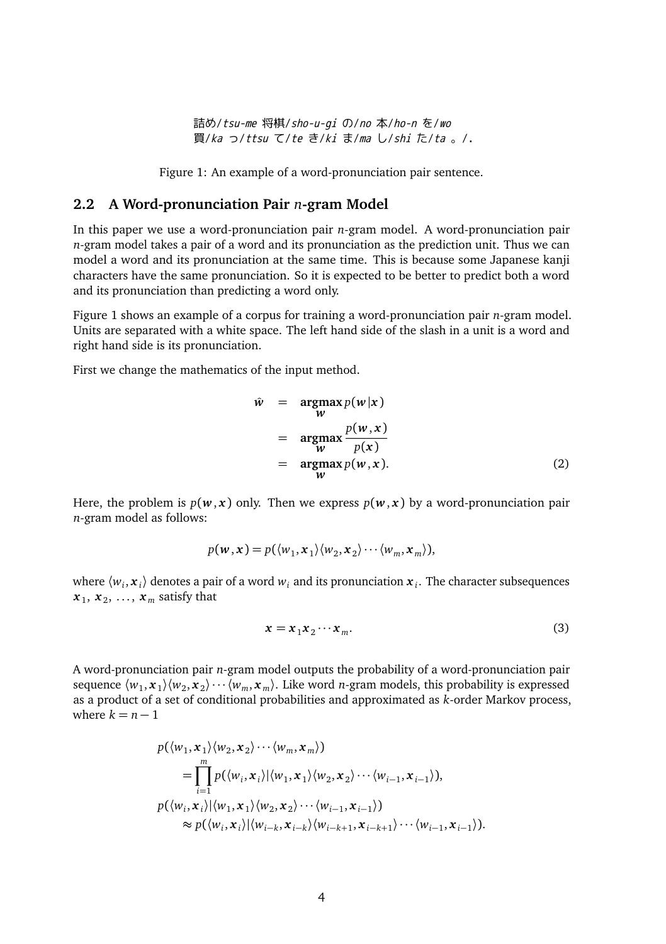詰め/tsu-me 将棋/sho-u-gi の/no 本/ho-n を/wo 買/ka っ/ttsu て/te き/ki ま/ma し/shi た/ta 。/.

Figure 1: An example of a word-pronunciation pair sentence.

#### **2.2 A Word-pronunciation Pair** *n***-gram Model**

In this paper we use a word-pronunciation pair *n*-gram model. A word-pronunciation pair *n*-gram model takes a pair of a word and its pronunciation as the prediction unit. Thus we can model a word and its pronunciation at the same time. This is because some Japanese kanji characters have the same pronunciation. So it is expected to be better to predict both a word and its pronunciation than predicting a word only.

Figure 1 shows an example of a corpus for training a word-pronunciation pair *n*-gram model. Units are separated with a white space. The left hand side of the slash in a unit is a word and right hand side is its pronunciation.

First we change the mathematics of the input method.

$$
\hat{w} = \underset{w}{\operatorname{argmax}} p(w|x) \n= \underset{w}{\operatorname{argmax}} \frac{p(w,x)}{p(x)} \n= \underset{w}{\operatorname{argmax}} p(w,x).
$$
\n(2)

Here, the problem is  $p(w, x)$  only. Then we express  $p(w, x)$  by a word-pronunciation pair *n*-gram model as follows:

$$
p(\mathbf{w}, \mathbf{x}) = p(\langle w_1, \mathbf{x}_1 \rangle \langle w_2, \mathbf{x}_2 \rangle \cdots \langle w_m, \mathbf{x}_m \rangle),
$$

where  $\langle w_i, x_i \rangle$  denotes a pair of a word  $w_i$  and its pronunciation  $x_i$ . The character subsequences  $x_1, x_2, \ldots, x_m$  satisfy that

$$
x = x_1 x_2 \cdots x_m. \tag{3}
$$

A word-pronunciation pair *n*-gram model outputs the probability of a word-pronunciation pair sequence  $\langle w_1, x_1 \rangle \langle w_2, x_2 \rangle \cdots \langle w_m, x_m \rangle$ . Like word *n*-gram models, this probability is expressed as a product of a set of conditional probabilities and approximated as *k*-order Markov process, where  $k = n - 1$ 

$$
p(\langle w_1, \mathbf{x}_1 \rangle \langle w_2, \mathbf{x}_2 \rangle \cdots \langle w_m, \mathbf{x}_m \rangle)
$$
  
= 
$$
\prod_{i=1}^m p(\langle w_i, \mathbf{x}_i \rangle | \langle w_1, \mathbf{x}_1 \rangle \langle w_2, \mathbf{x}_2 \rangle \cdots \langle w_{i-1}, \mathbf{x}_{i-1} \rangle),
$$
  

$$
p(\langle w_i, \mathbf{x}_i \rangle | \langle w_1, \mathbf{x}_1 \rangle \langle w_2, \mathbf{x}_2 \rangle \cdots \langle w_{i-1}, \mathbf{x}_{i-1} \rangle)
$$
  

$$
\approx p(\langle w_i, \mathbf{x}_i \rangle | \langle w_{i-k}, \mathbf{x}_{i-k} \rangle \langle w_{i-k+1}, \mathbf{x}_{i-k+1} \rangle \cdots \langle w_{i-1}, \mathbf{x}_{i-1} \rangle).
$$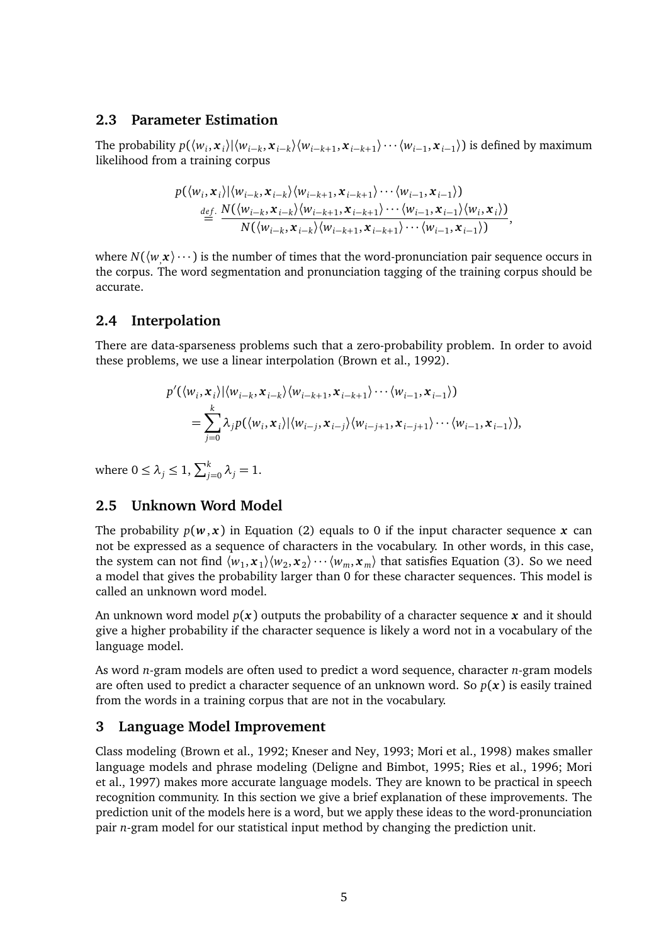## **2.3 Parameter Estimation**

The probability  $p(\langle w_i, x_i \rangle | \langle w_{i-k}, x_{i-k} \rangle \langle w_{i-k+1}, x_{i-k+1} \rangle \cdots \langle w_{i-1}, x_{i-1} \rangle)$  is defined by maximum likelihood from a training corpus

$$
p(\langle w_i, \mathbf{x}_i \rangle | \langle w_{i-k}, \mathbf{x}_{i-k} \rangle \langle w_{i-k+1}, \mathbf{x}_{i-k+1} \rangle \cdots \langle w_{i-1}, \mathbf{x}_{i-1} \rangle)
$$
  

$$
\stackrel{def}{=} \frac{N(\langle w_{i-k}, \mathbf{x}_{i-k} \rangle \langle w_{i-k+1}, \mathbf{x}_{i-k+1} \rangle \cdots \langle w_{i-1}, \mathbf{x}_{i-1} \rangle \langle w_i, \mathbf{x}_i \rangle)}{N(\langle w_{i-k}, \mathbf{x}_{i-k} \rangle \langle w_{i-k+1}, \mathbf{x}_{i-k+1} \rangle \cdots \langle w_{i-1}, \mathbf{x}_{i-1} \rangle)},
$$

where  $N(\langle w, x \rangle \cdots)$  is the number of times that the word-pronunciation pair sequence occurs in the corpus. The word segmentation and pronunciation tagging of the training corpus should be accurate.

## **2.4 Interpolation**

There are data-sparseness problems such that a zero-probability problem. In order to avoid these problems, we use a linear interpolation (Brown et al., 1992).

$$
p'(\langle w_i, \mathbf{x}_i \rangle | \langle w_{i-k}, \mathbf{x}_{i-k} \rangle \langle w_{i-k+1}, \mathbf{x}_{i-k+1} \rangle \cdots \langle w_{i-1}, \mathbf{x}_{i-1} \rangle)
$$
  
= 
$$
\sum_{j=0}^k \lambda_j p(\langle w_i, \mathbf{x}_i \rangle | \langle w_{i-j}, \mathbf{x}_{i-j} \rangle \langle w_{i-j+1}, \mathbf{x}_{i-j+1} \rangle \cdots \langle w_{i-1}, \mathbf{x}_{i-1} \rangle),
$$

where  $0 \leq \lambda_j \leq 1$ ,  $\sum_{j=0}^k \lambda_j = 1$ .

## **2.5 Unknown Word Model**

The probability  $p(w, x)$  in Equation (2) equals to 0 if the input character sequence x can not be expressed as a sequence of characters in the vocabulary. In other words, in this case, the system can not find  $\langle w_1, x_1 \rangle \langle w_2, x_2 \rangle \cdots \langle w_m, x_m \rangle$  that satisfies Equation (3). So we need a model that gives the probability larger than 0 for these character sequences. This model is called an unknown word model.

An unknown word model  $p(x)$  outputs the probability of a character sequence x and it should give a higher probability if the character sequence is likely a word not in a vocabulary of the language model.

As word *n*-gram models are often used to predict a word sequence, character *n*-gram models are often used to predict a character sequence of an unknown word. So  $p(x)$  is easily trained from the words in a training corpus that are not in the vocabulary.

## **3 Language Model Improvement**

Class modeling (Brown et al., 1992; Kneser and Ney, 1993; Mori et al., 1998) makes smaller language models and phrase modeling (Deligne and Bimbot, 1995; Ries et al., 1996; Mori et al., 1997) makes more accurate language models. They are known to be practical in speech recognition community. In this section we give a brief explanation of these improvements. The prediction unit of the models here is a word, but we apply these ideas to the word-pronunciation pair *n*-gram model for our statistical input method by changing the prediction unit.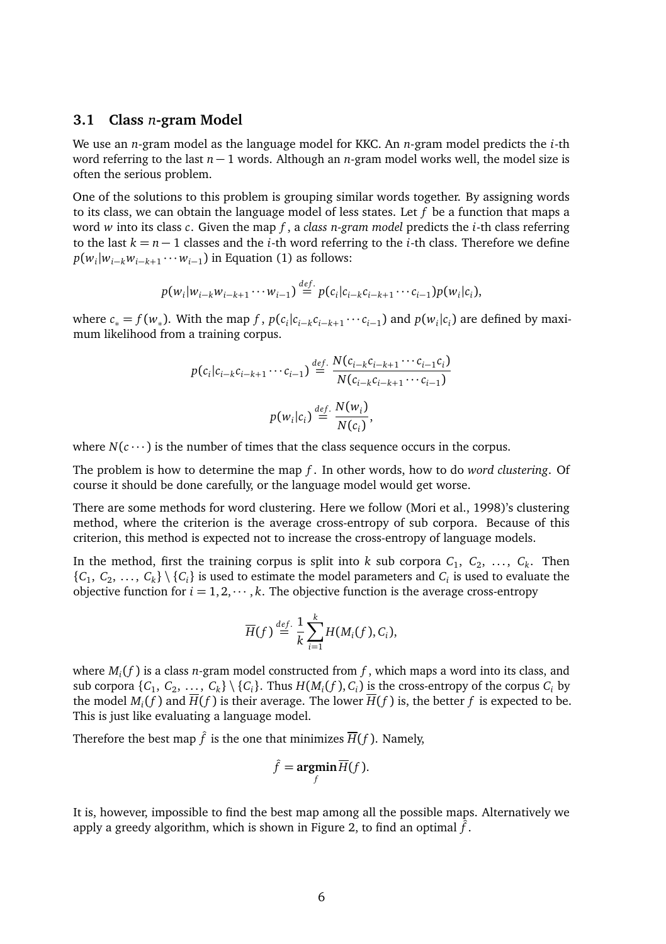#### **3.1 Class** *n***-gram Model**

We use an *n*-gram model as the language model for KKC. An *n*-gram model predicts the *i*-th word referring to the last *n* − 1 words. Although an *n*-gram model works well, the model size is often the serious problem.

One of the solutions to this problem is grouping similar words together. By assigning words to its class, we can obtain the language model of less states. Let *f* be a function that maps a word *w* into its class *c*. Given the map *f* , a *class n-gram model* predicts the *i*-th class referring to the last  $k = n - 1$  classes and the *i*-th word referring to the *i*-th class. Therefore we define *p*( $w_i|w_{i-k}w_{i-k+1}$ ⋅⋅⋅ $w_{i-1}$ ) in Equation (1) as follows:

$$
p(w_i|w_{i-k}w_{i-k+1}\cdots w_{i-1}) \stackrel{def.}{=} p(c_i|c_{i-k}c_{i-k+1}\cdots c_{i-1})p(w_i|c_i),
$$

where  $c_* = f(w_*)$ . With the map f,  $p(c_i|c_{i-k}c_{i-k+1}\cdots c_{i-1})$  and  $p(w_i|c_i)$  are defined by maximum likelihood from a training corpus.

$$
p(c_i|c_{i-k}c_{i-k+1}\cdots c_{i-1}) \stackrel{def.}{=} \frac{N(c_{i-k}c_{i-k+1}\cdots c_{i-1}c_i)}{N(c_{i-k}c_{i-k+1}\cdots c_{i-1})}
$$

$$
p(w_i|c_i) \stackrel{def.}{=} \frac{N(w_i)}{N(c_i)},
$$

where  $N(c \cdots)$  is the number of times that the class sequence occurs in the corpus.

The problem is how to determine the map *f* . In other words, how to do *word clustering*. Of course it should be done carefully, or the language model would get worse.

There are some methods for word clustering. Here we follow (Mori et al., 1998)'s clustering method, where the criterion is the average cross-entropy of sub corpora. Because of this criterion, this method is expected not to increase the cross-entropy of language models.

In the method, first the training corpus is split into  $k$  sub corpora  $C_1, C_2, \ldots, C_k$ . Then  $\{C_1, C_2, \ldots, C_k\} \setminus \{C_i\}$  is used to estimate the model parameters and  $C_i$  is used to evaluate the objective function for  $i = 1, 2, \dots, k$ . The objective function is the average cross-entropy

$$
\overline{H}(f) \stackrel{def.}{=} \frac{1}{k} \sum_{i=1}^{k} H(M_i(f), C_i),
$$

where  $M_i(f)$  is a class *n*-gram model constructed from  $f$ , which maps a word into its class, and sub corpora  $\{C_1, C_2, \ldots, C_k\} \setminus \{C_i\}$ . Thus  $H(M_i(f), C_i)$  is the cross-entropy of the corpus  $C_i$  by the model  $M_i(f)$  and  $\overline{H}(f)$  is their average. The lower  $\overline{H}(f)$  is, the better f is expected to be. This is just like evaluating a language model.

Therefore the best map  $\hat{f}$  is the one that minimizes  $\overline{H}(f)$ . Namely,

$$
\hat{f} = \underset{f}{\text{argmin}} \overline{H}(f).
$$

It is, however, impossible to find the best map among all the possible maps. Alternatively we apply a greedy algorithm, which is shown in Figure 2, to find an optimal  $\hat{f}$ .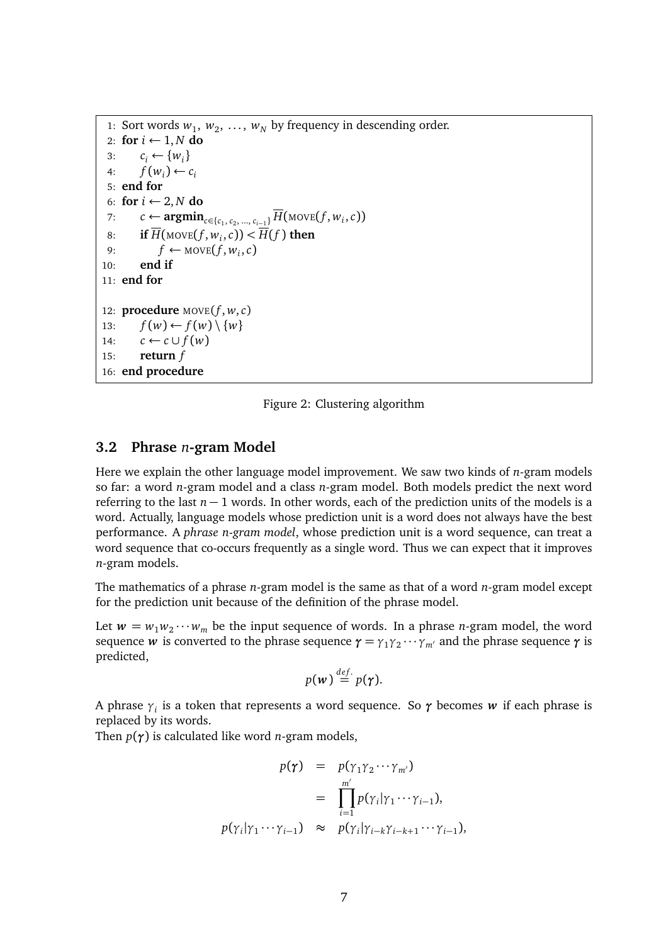```
1: Sort words w_1, w_2, ..., w_N by frequency in descending order.
 2: for i \leftarrow 1, N do<br>3: c_i \leftarrow \{w_i\}3: c_i \leftarrow \{w_i\}<br>4: f(w_i) \leftarrow cf(w_i) \leftarrow c_i5: end for
 6: for i \leftarrow 2, N do<br>7: c \leftarrow \text{arcmin}7: c ← argmin<sub>c∈{c<sub>1</sub></sub>, c<sub>2</sub>, ..., c<sub>i−1</sub>}</del> H(MOVE(f, w<sub>i</sub>, c))
 8: if H(\text{move}(f, w_i, c)) < H(f) then
 9: f ← MOVE(f, w_i, c)
10: end if
11: end for
12: procedure Move(f, w, c)13: f(w) \leftarrow f(w) \setminus \{w\}<br>
14: c \leftarrow c \cup f(w)14: c \leftarrow c \cup f(w)<br>15: return f
           return f16: end procedure
```
Figure 2: Clustering algorithm

### **3.2 Phrase** *n***-gram Model**

Here we explain the other language model improvement. We saw two kinds of *n*-gram models so far: a word *n*-gram model and a class *n*-gram model. Both models predict the next word referring to the last *n* − 1 words. In other words, each of the prediction units of the models is a word. Actually, language models whose prediction unit is a word does not always have the best performance. A *phrase n-gram model*, whose prediction unit is a word sequence, can treat a word sequence that co-occurs frequently as a single word. Thus we can expect that it improves *n*-gram models.

The mathematics of a phrase *n*-gram model is the same as that of a word *n*-gram model except for the prediction unit because of the definition of the phrase model.

Let  $w = w_1 w_2 \cdots w_m$  be the input sequence of words. In a phrase *n*-gram model, the word sequence *w* is converted to the phrase sequence  $\gamma = \gamma_1 \gamma_2 \cdots \gamma_m$  and the phrase sequence  $\gamma$  is predicted,

$$
p(\mathbf{w}) \stackrel{\text{def.}}{=} p(\boldsymbol{\gamma}).
$$

A phrase *γ<sup>i</sup>* is a token that represents a word sequence. So *γ* becomes *w* if each phrase is replaced by its words.

Then *p*(*γ*) is calculated like word *n*-gram models,

$$
p(\gamma) = p(\gamma_1 \gamma_2 \cdots \gamma_{m'})
$$
  
= 
$$
\prod_{i=1}^{m'} p(\gamma_i | \gamma_1 \cdots \gamma_{i-1}),
$$
  

$$
p(\gamma_i | \gamma_1 \cdots \gamma_{i-1}) \approx p(\gamma_i | \gamma_{i-k} \gamma_{i-k+1} \cdots \gamma_{i-1}),
$$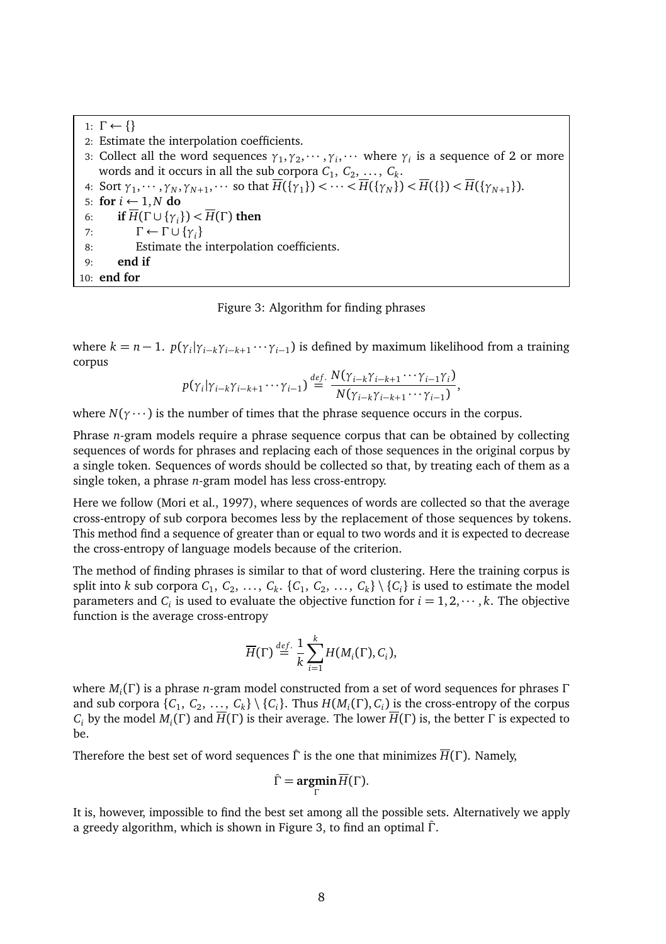1:  $\Gamma \leftarrow \{\}$ 2: Estimate the interpolation coefficients. 3: Collect all the word sequences  $\gamma_1, \gamma_2, \cdots, \gamma_i, \cdots$  where  $\gamma_i$  is a sequence of 2 or more words and it occurs in all the sub corpora  $C_1, C_2, \ldots, C_k$ . 4: Sort  $\gamma_1, \dots, \gamma_N, \gamma_{N+1}, \dots$  so that  $H({\gamma_1}) < \dots < H({\gamma_N}) < H({\gamma_{N+1}}).$ 5: **for**  $i \leftarrow 1, N$  **do**<br>6: **if**  $\overline{H}(\Gamma \cup \{ \gamma_i \})$ 6: **if**  $\overline{H}(\Gamma \cup \{\gamma_i\}) < \overline{H}(\Gamma)$  then<br>7:  $\Gamma \leftarrow \Gamma \cup \{\gamma_i\}$ 7:  $\Gamma \leftarrow \Gamma \cup \{\gamma_i\}$ <br>8: Estimate the Estimate the interpolation coefficients. 9: **end if** 10: **end for**

#### Figure 3: Algorithm for finding phrases

where  $k = n - 1$ .  $p(\gamma_i | \gamma_{i-k} \gamma_{i-k+1} \cdots \gamma_{i-1})$  is defined by maximum likelihood from a training corpus

$$
p(\gamma_i|\gamma_{i-k}\gamma_{i-k+1}\cdots\gamma_{i-1})\stackrel{def.}{=} \frac{N(\gamma_{i-k}\gamma_{i-k+1}\cdots\gamma_{i-1}\gamma_i)}{N(\gamma_{i-k}\gamma_{i-k+1}\cdots\gamma_{i-1})},
$$

where  $N(\gamma \cdots)$  is the number of times that the phrase sequence occurs in the corpus.

Phrase *n*-gram models require a phrase sequence corpus that can be obtained by collecting sequences of words for phrases and replacing each of those sequences in the original corpus by a single token. Sequences of words should be collected so that, by treating each of them as a single token, a phrase *n*-gram model has less cross-entropy.

Here we follow (Mori et al., 1997), where sequences of words are collected so that the average cross-entropy of sub corpora becomes less by the replacement of those sequences by tokens. This method find a sequence of greater than or equal to two words and it is expected to decrease the cross-entropy of language models because of the criterion.

The method of finding phrases is similar to that of word clustering. Here the training corpus is split into *k* sub corpora  $C_1$ ,  $C_2$ , ...,  $C_k$ .  $\{C_1, C_2, ..., C_k\} \setminus \{C_i\}$  is used to estimate the model parameters and  $C_i$  is used to evaluate the objective function for  $i = 1, 2, \dots, k$ . The objective function is the average cross-entropy

$$
\overline{H}(\Gamma) \stackrel{def.}{=} \frac{1}{k} \sum_{i=1}^{k} H(M_i(\Gamma), C_i),
$$

where *Mi*(Γ) is a phrase *n*-gram model constructed from a set of word sequences for phrases Γ and sub corpora  $\{C_1, C_2, \ldots, C_k\} \setminus \{C_i\}$ . Thus  $H(M_i(\Gamma), C_i)$  is the cross-entropy of the corpus *C<sub>i</sub>* by the model *M<sub>i</sub>*(Γ) and  $\overline{H}(\Gamma)$  is their average. The lower  $\overline{H}(\Gamma)$  is, the better Γ is expected to be.

Therefore the best set of word sequences  $\hat{\Gamma}$  is the one that minimizes  $\overline{H}(\Gamma)$ . Namely,

$$
\hat{\Gamma} = \underset{\Gamma}{\text{argmin}} \, \overline{H}(\Gamma).
$$

It is, however, impossible to find the best set among all the possible sets. Alternatively we apply a greedy algorithm, which is shown in Figure 3, to find an optimal Γˆ.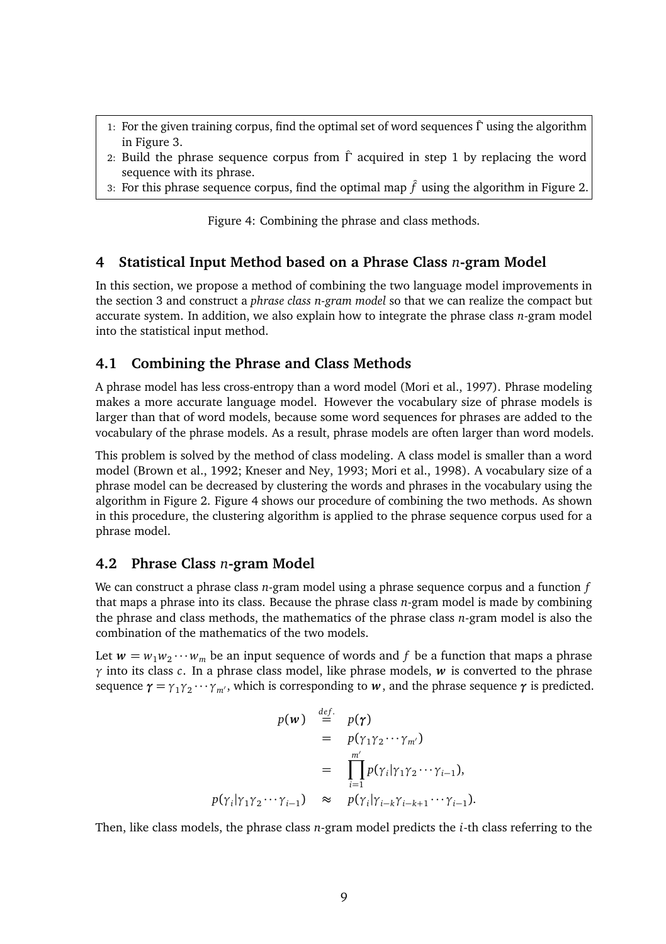- 1: For the given training corpus, find the optimal set of word sequences  $\hat{\Gamma}$  using the algorithm in Figure 3.
- 2: Build the phrase sequence corpus from  $\hat{\Gamma}$  acquired in step 1 by replacing the word sequence with its phrase.
- 3: For this phrase sequence corpus, find the optimal map  $\hat{f}$  using the algorithm in Figure 2.

Figure 4: Combining the phrase and class methods.

## **4 Statistical Input Method based on a Phrase Class** *n***-gram Model**

In this section, we propose a method of combining the two language model improvements in the section 3 and construct a *phrase class n-gram model* so that we can realize the compact but accurate system. In addition, we also explain how to integrate the phrase class *n*-gram model into the statistical input method.

## **4.1 Combining the Phrase and Class Methods**

A phrase model has less cross-entropy than a word model (Mori et al., 1997). Phrase modeling makes a more accurate language model. However the vocabulary size of phrase models is larger than that of word models, because some word sequences for phrases are added to the vocabulary of the phrase models. As a result, phrase models are often larger than word models.

This problem is solved by the method of class modeling. A class model is smaller than a word model (Brown et al., 1992; Kneser and Ney, 1993; Mori et al., 1998). A vocabulary size of a phrase model can be decreased by clustering the words and phrases in the vocabulary using the algorithm in Figure 2. Figure 4 shows our procedure of combining the two methods. As shown in this procedure, the clustering algorithm is applied to the phrase sequence corpus used for a phrase model.

#### **4.2 Phrase Class** *n***-gram Model**

We can construct a phrase class *n*-gram model using a phrase sequence corpus and a function *f* that maps a phrase into its class. Because the phrase class *n*-gram model is made by combining the phrase and class methods, the mathematics of the phrase class *n*-gram model is also the combination of the mathematics of the two models.

Let  $w = w_1 w_2 \cdots w_m$  be an input sequence of words and *f* be a function that maps a phrase *γ* into its class *c*. In a phrase class model, like phrase models, *w* is converted to the phrase sequence  $\gamma = \gamma_1 \gamma_2 \cdots \gamma_{m'}$ , which is corresponding to *w*, and the phrase sequence  $\gamma$  is predicted.

$$
p(\mathbf{w}) \stackrel{\text{def.}}{=} p(\gamma)
$$
  
=  $p(\gamma_1 \gamma_2 \cdots \gamma_{m'})$   
=  $\prod_{i=1}^{m'} p(\gamma_i | \gamma_1 \gamma_2 \cdots \gamma_{i-1}),$   
 $p(\gamma_i | \gamma_1 \gamma_2 \cdots \gamma_{i-1}) \approx p(\gamma_i | \gamma_{i-k} \gamma_{i-k+1} \cdots \gamma_{i-1}).$ 

Then, like class models, the phrase class *n*-gram model predicts the *i*-th class referring to the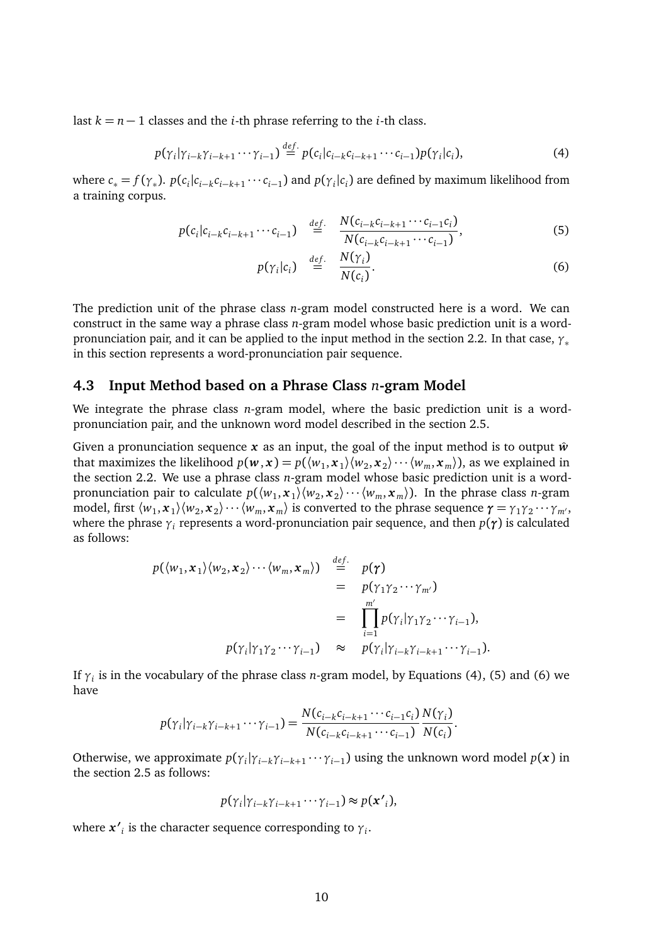last  $k = n - 1$  classes and the *i*-th phrase referring to the *i*-th class.

$$
p(\gamma_i|\gamma_{i-k}\gamma_{i-k+1}\cdots\gamma_{i-1}) \stackrel{def.}{=} p(c_i|c_{i-k}c_{i-k+1}\cdots c_{i-1})p(\gamma_i|c_i),
$$
\n(4)

where  $c_* = f(\gamma_*)$ .  $p(c_i|c_{i-k}c_{i-k+1}\cdots c_{i-1})$  and  $p(\gamma_i|c_i)$  are defined by maximum likelihood from a training corpus.

$$
p(c_i|c_{i-k}c_{i-k+1}\cdots c_{i-1}) \stackrel{def.}{=} \frac{N(c_{i-k}c_{i-k+1}\cdots c_{i-1}c_i)}{N(c_{i-k}c_{i-k+1}\cdots c_{i-1})},
$$
(5)

$$
p(\gamma_i|c_i) \stackrel{def.}{=} \frac{N(\gamma_i)}{N(c_i)}.
$$
 (6)

The prediction unit of the phrase class *n*-gram model constructed here is a word. We can construct in the same way a phrase class *n*-gram model whose basic prediction unit is a wordpronunciation pair, and it can be applied to the input method in the section 2.2. In that case, *<sup>γ</sup>*<sup>∗</sup> in this section represents a word-pronunciation pair sequence.

#### **4.3 Input Method based on a Phrase Class** *n***-gram Model**

We integrate the phrase class *n*-gram model, where the basic prediction unit is a wordpronunciation pair, and the unknown word model described in the section 2.5.

Given a pronunciation sequence  $x$  as an input, the goal of the input method is to output  $\hat{w}$ that maximizes the likelihood  $p(w, x) = p(\langle w_1, x_1 \rangle \langle w_2, x_2 \rangle \cdots \langle w_m, x_m \rangle)$ , as we explained in the section 2.2. We use a phrase class *n*-gram model whose basic prediction unit is a wordpronunciation pair to calculate  $p(\langle w_1, x_1 \rangle \langle w_2, x_2 \rangle \cdots \langle w_m, x_m \rangle)$ . In the phrase class *n*-gram model, first  $\langle w_1, x_1 \rangle \langle w_2, x_2 \rangle \cdots \langle w_m, x_m \rangle$  is converted to the phrase sequence  $\gamma = \gamma_1 \gamma_2 \cdots \gamma_m$ <sup>1</sup>, where the phrase  $\gamma_i$  represents a word-pronunciation pair sequence, and then  $p(\gamma)$  is calculated as follows:

$$
p(\langle w_1, \mathbf{x}_1 \rangle \langle w_2, \mathbf{x}_2 \rangle \cdots \langle w_m, \mathbf{x}_m \rangle) \stackrel{def.}{=} p(\gamma)
$$
  
=  $p(\gamma_1 \gamma_2 \cdots \gamma_{m'})$   
=  $\prod_{i=1}^{m'} p(\gamma_i | \gamma_1 \gamma_2 \cdots \gamma_{i-1}),$   
 $p(\gamma_i | \gamma_1 \gamma_2 \cdots \gamma_{i-1}) \approx p(\gamma_i | \gamma_{i-k+1} \cdots \gamma_{i-1}).$ 

If *γ<sup>i</sup>* is in the vocabulary of the phrase class *n*-gram model, by Equations (4), (5) and (6) we have

$$
p(\gamma_i|\gamma_{i-k}\gamma_{i-k+1}\cdots\gamma_{i-1}) = \frac{N(c_{i-k}c_{i-k+1}\cdots c_{i-1}c_i)}{N(c_{i-k}c_{i-k+1}\cdots c_{i-1})}\frac{N(\gamma_i)}{N(c_i)}.
$$

Otherwise, we approximate  $p(\gamma_i | \gamma_{i-k} \gamma_{i-k+1} \cdots \gamma_{i-1})$  using the unknown word model  $p(x)$  in the section 2.5 as follows:

$$
p(\gamma_i|\gamma_{i-k}\gamma_{i-k+1}\cdots\gamma_{i-1})\approx p(\mathbf{x'}_i),
$$

where  $x'{}_{i}$  is the character sequence corresponding to  $\gamma{}_{i}$ .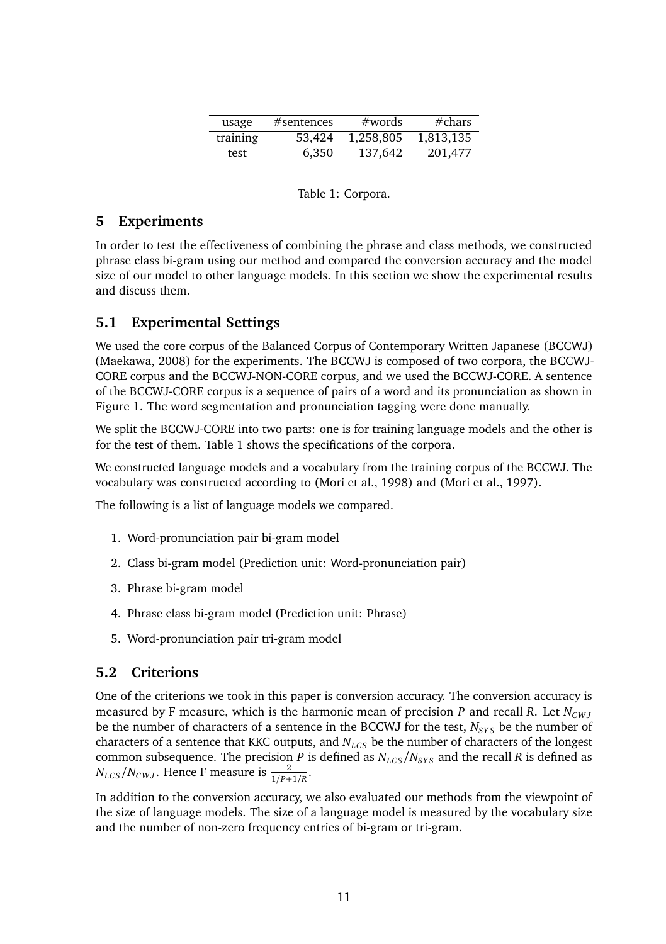| usage    | #sentences | #words    | # <sub>chars</sub> |
|----------|------------|-----------|--------------------|
| training | 53,424     | 1,258,805 | 1,813,135          |
| test     | 6,350      | 137,642   | 201,477            |

#### Table 1: Corpora.

## **5 Experiments**

In order to test the effectiveness of combining the phrase and class methods, we constructed phrase class bi-gram using our method and compared the conversion accuracy and the model size of our model to other language models. In this section we show the experimental results and discuss them.

## **5.1 Experimental Settings**

We used the core corpus of the Balanced Corpus of Contemporary Written Japanese (BCCWJ) (Maekawa, 2008) for the experiments. The BCCWJ is composed of two corpora, the BCCWJ-CORE corpus and the BCCWJ-NON-CORE corpus, and we used the BCCWJ-CORE. A sentence of the BCCWJ-CORE corpus is a sequence of pairs of a word and its pronunciation as shown in Figure 1. The word segmentation and pronunciation tagging were done manually.

We split the BCCWJ-CORE into two parts: one is for training language models and the other is for the test of them. Table 1 shows the specifications of the corpora.

We constructed language models and a vocabulary from the training corpus of the BCCWJ. The vocabulary was constructed according to (Mori et al., 1998) and (Mori et al., 1997).

The following is a list of language models we compared.

- 1. Word-pronunciation pair bi-gram model
- 2. Class bi-gram model (Prediction unit: Word-pronunciation pair)
- 3. Phrase bi-gram model
- 4. Phrase class bi-gram model (Prediction unit: Phrase)
- 5. Word-pronunciation pair tri-gram model

## **5.2 Criterions**

One of the criterions we took in this paper is conversion accuracy. The conversion accuracy is measured by F measure, which is the harmonic mean of precision *P* and recall *R*. Let  $N_{CWJ}$ be the number of characters of a sentence in the BCCWJ for the test,  $N_{SYS}$  be the number of characters of a sentence that KKC outputs, and *N<sub>LCS</sub>* be the number of characters of the longest common subsequence. The precision *P* is defined as  $N_{LCS}/N_{SYS}$  and the recall *R* is defined as  $N_{LCS}/N_{CWJ}$ . Hence F measure is  $\frac{2}{1/P+1/R}$ .

In addition to the conversion accuracy, we also evaluated our methods from the viewpoint of the size of language models. The size of a language model is measured by the vocabulary size and the number of non-zero frequency entries of bi-gram or tri-gram.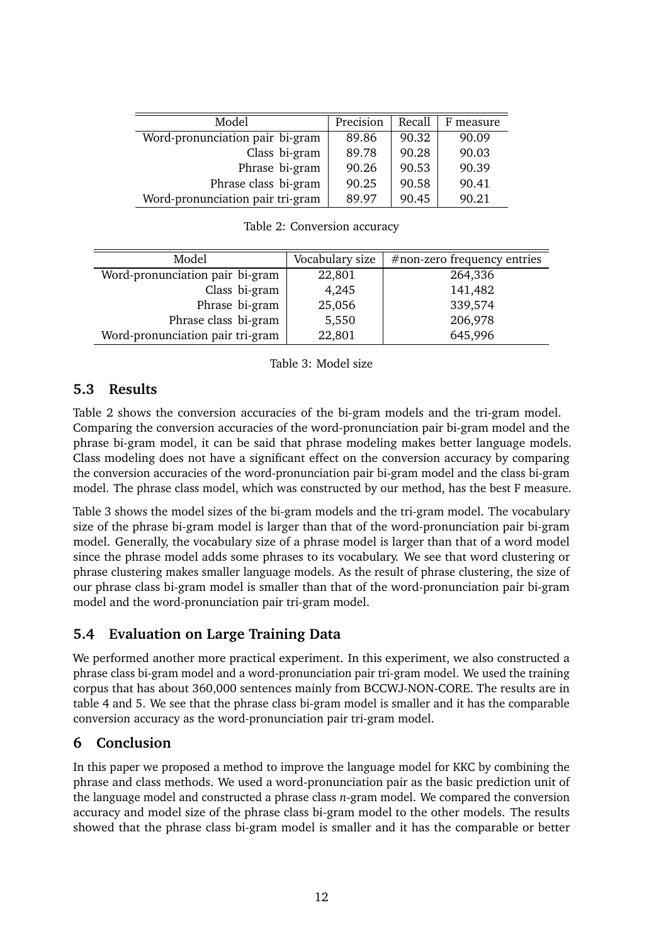| Model                            | Precision | Recall | F measure |
|----------------------------------|-----------|--------|-----------|
| Word-pronunciation pair bi-gram  | 89.86     | 90.32  | 90.09     |
| Class bi-gram                    | 89.78     | 90.28  | 90.03     |
| Phrase bi-gram                   | 90.26     | 90.53  | 90.39     |
| Phrase class bi-gram             | 90.25     | 90.58  | 90.41     |
| Word-pronunciation pair tri-gram | 89.97     | 90.45  | 90.21     |
|                                  |           |        |           |

| Model                            | Vocabulary size | $#$ non-zero frequency entries |
|----------------------------------|-----------------|--------------------------------|
| Word-pronunciation pair bi-gram  | 22,801          | 264,336                        |
| Class bi-gram                    | 4,245           | 141,482                        |
| Phrase bi-gram                   | 25,056          | 339,574                        |
| Phrase class bi-gram             | 5,550           | 206,978                        |
| Word-pronunciation pair tri-gram | 22,801          | 645,996                        |

Table 2: Conversion accuracy

Table 3: Model size

# **5.3 Results**

 $\overline{\phantom{a}}$ 

Table 2 shows the conversion accuracies of the bi-gram models and the tri-gram model. Comparing the conversion accuracies of the word-pronunciation pair bi-gram model and the phrase bi-gram model, it can be said that phrase modeling makes better language models. Class modeling does not have a significant effect on the conversion accuracy by comparing the conversion accuracies of the word-pronunciation pair bi-gram model and the class bi-gram model. The phrase class model, which was constructed by our method, has the best F measure.

Table 3 shows the model sizes of the bi-gram models and the tri-gram model. The vocabulary size of the phrase bi-gram model is larger than that of the word-pronunciation pair bi-gram model. Generally, the vocabulary size of a phrase model is larger than that of a word model since the phrase model adds some phrases to its vocabulary. We see that word clustering or phrase clustering makes smaller language models. As the result of phrase clustering, the size of our phrase class bi-gram model is smaller than that of the word-pronunciation pair bi-gram model and the word-pronunciation pair tri-gram model.

# **5.4 Evaluation on Large Training Data**

We performed another more practical experiment. In this experiment, we also constructed a phrase class bi-gram model and a word-pronunciation pair tri-gram model. We used the training corpus that has about 360,000 sentences mainly from BCCWJ-NON-CORE. The results are in table 4 and 5. We see that the phrase class bi-gram model is smaller and it has the comparable conversion accuracy as the word-pronunciation pair tri-gram model.

# **6 Conclusion**

In this paper we proposed a method to improve the language model for KKC by combining the phrase and class methods. We used a word-pronunciation pair as the basic prediction unit of the language model and constructed a phrase class *n*-gram model. We compared the conversion accuracy and model size of the phrase class bi-gram model to the other models. The results showed that the phrase class bi-gram model is smaller and it has the comparable or better